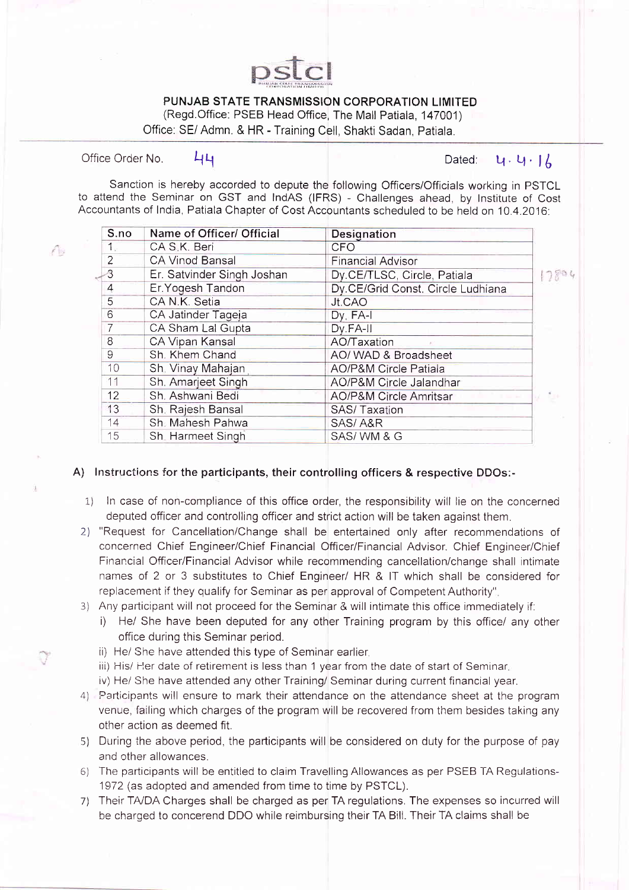

## PUNJAB STATE TRANSMISSION CORPORATION LIMITED

(Regd.Office: PSEB Head Office, The Mall Patiala, 147001)

Office: SE/ Admn. & HR - Training Cell, Shakti Sadan, Patiala

Office Order No.  $\begin{array}{ccc} \text{44} & \text{46} \end{array}$  Let  $\begin{array}{ccc} \text{47} & \text{48} \end{array}$  Let  $\begin{array}{ccc} \text{48} & \text{49} \end{array}$ 

Sanction is hereby accorded to depute the following Officers/Officials working in PSTCL to attend the Seminar on GST and IndAS (IFRS) - Challenges ahead, by Institute of Cost Accountants of India, Patiala Chapter of Cost Accountants scheduled to be held on 10.4.2016:

 $\sqrt{2}$ 

Ũ

| S.no           | Name of Officer/ Official  | <b>Designation</b>                      |  |
|----------------|----------------------------|-----------------------------------------|--|
| $1_{\odot}$    | CA S.K. Beri               | <b>CFO</b>                              |  |
| $\overline{2}$ | CA Vinod Bansal            | <b>Financial Advisor</b>                |  |
| 3              | Er. Satvinder Singh Joshan | Dy.CE/TLSC, Circle, Patiala             |  |
| 4              | Er. Yogesh Tandon          | Dy.CE/Grid Const. Circle Ludhiana       |  |
| 5              | CA N.K. Setia              | Jt.CAO                                  |  |
| 6              | CA Jatinder Tageja         | $Dy \cdot FA-I$                         |  |
| $\overline{7}$ | CA Sham Lal Gupta          | Dy FA-II                                |  |
| 8              | CA Vipan Kansal            | AO/Taxation                             |  |
| 9              | Sh. Khem Chand             | AO/ WAD & Broadsheet                    |  |
| 10             | Sh. Vinay Mahajan          | <b>AO/P&amp;M Circle Patiala</b>        |  |
| 11             | Sh. Amarjeet Singh         | AO/P&M Circle Jalandhar                 |  |
| 12             | Sh. Ashwani Bedi           | AO/P&M Circle Amritsar<br><b>Common</b> |  |
| 13             | Sh. Rajesh Bansal          | <b>SAS/Taxation</b>                     |  |
| 14             | Sh. Mahesh Pahwa           | SAS/A&R                                 |  |
| 15             | Sh. Harmeet Singh          | SAS/WM & G                              |  |

## A) Instructions for the participants, their controlling officers & respective DDOs:-

- 1) In case of non-compliance of this office order, the responsibility will lie on the concerned deputed officer and controlling officer and strict action will be taken against them.
- 2) "Request for Cancellation/Change shall be entertained only after recommendations of concerned Chief Engineer/Chief Financial Officer/Financial Advisor. Chief Engineer/Chief Financial Officer/Financial Advisor while recommending cancellation/change shall intimate names of 2 or 3 substitutes to Chief Engineer/ HR & lT which shall be considered for replacement if they qualify for Seminar as per approval of Competent Authority".
- Any participant will not proceed for the Seminar & will intimate this office immediately if:
	- i) He/ She have been deputed for any other Training program by this office/ any other office during this Seminar period.
	- ii) He/ She have attended this type of Seminar earlier.
	- iii) His/ Her date of retirement is less than 1 year from the date of start of Seminar.
	- iv) He/ She have attended any other Training/ Seminar during current financial year.
- Parlicipants will ensure to mark their attendance on the attendance sheet at the program 4) venue, tailing which charges of the program will be recovered from them besides taking any other action as deemed fit.
- $5)$  During the above period, the participants will be considered on duty for the purpose of pay and other allowances.
- $6)$  The participants will be entitled to claim Travelling Allowances as per PSEB TA Regulations 1972 (as adopted and amended from time to time by PSTCL).
- 7) Their TA/DA Charges shall be charged as per TA regulations. The expenses so incurred will be charged to concerend DDO while reimbursing their TA Bill. Their TA claims shall be